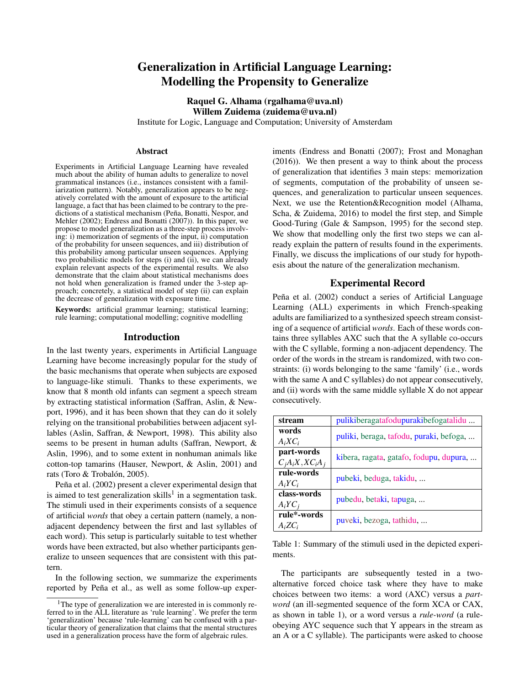# Generalization in Artificial Language Learning: Modelling the Propensity to Generalize

Raquel G. Alhama (rgalhama@uva.nl) Willem Zuidema (zuidema@uva.nl)

Institute for Logic, Language and Computation; University of Amsterdam

#### Abstract

Experiments in Artificial Language Learning have revealed much about the ability of human adults to generalize to novel grammatical instances (i.e., instances consistent with a familiarization pattern). Notably, generalization appears to be negatively correlated with the amount of exposure to the artificial language, a fact that has been claimed to be contrary to the predictions of a statistical mechanism (Peña, Bonatti, Nespor, and Mehler (2002); Endress and Bonatti (2007)). In this paper, we propose to model generalization as a three-step process involving: i) memorization of segments of the input, ii) computation of the probability for unseen sequences, and iii) distribution of this probability among particular unseen sequences. Applying two probabilistic models for steps (i) and (ii), we can already explain relevant aspects of the experimental results. We also demonstrate that the claim about statistical mechanisms does not hold when generalization is framed under the 3-step approach; concretely, a statistical model of step (ii) can explain the decrease of generalization with exposure time.

Keywords: artificial grammar learning; statistical learning; rule learning; computational modelling; cognitive modelling

#### Introduction

In the last twenty years, experiments in Artificial Language Learning have become increasingly popular for the study of the basic mechanisms that operate when subjects are exposed to language-like stimuli. Thanks to these experiments, we know that 8 month old infants can segment a speech stream by extracting statistical information (Saffran, Aslin, & Newport, 1996), and it has been shown that they can do it solely relying on the transitional probabilities between adjacent syllables (Aslin, Saffran, & Newport, 1998). This ability also seems to be present in human adults (Saffran, Newport, & Aslin, 1996), and to some extent in nonhuman animals like cotton-top tamarins (Hauser, Newport, & Aslin, 2001) and rats (Toro & Trobalón, 2005).

Peña et al. (2002) present a clever experimental design that is aimed to test generalization skills<sup>1</sup> in a segmentation task. The stimuli used in their experiments consists of a sequence of artificial *words* that obey a certain pattern (namely, a nonadjacent dependency between the first and last syllables of each word). This setup is particularly suitable to test whether words have been extracted, but also whether participants generalize to unseen sequences that are consistent with this pattern.

In the following section, we summarize the experiments reported by Peña et al., as well as some follow-up experiments (Endress and Bonatti (2007); Frost and Monaghan (2016)). We then present a way to think about the process of generalization that identifies 3 main steps: memorization of segments, computation of the probability of unseen sequences, and generalization to particular unseen sequences. Next, we use the Retention&Recognition model (Alhama, Scha, & Zuidema, 2016) to model the first step, and Simple Good-Turing (Gale & Sampson, 1995) for the second step. We show that modelling only the first two steps we can already explain the pattern of results found in the experiments. Finally, we discuss the implications of our study for hypothesis about the nature of the generalization mechanism.

### Experimental Record

Peña et al. (2002) conduct a series of Artificial Language Learning (ALL) experiments in which French-speaking adults are familiarized to a synthesized speech stream consisting of a sequence of artificial *words*. Each of these words contains three syllables AXC such that the A syllable co-occurs with the C syllable, forming a non-adjacent dependency. The order of the words in the stream is randomized, with two constraints: (i) words belonging to the same 'family' (i.e., words with the same A and C syllables) do not appear consecutively, and (ii) words with the same middle syllable X do not appear consecutively.

| stream            | pulikiberagatafodupurakibefogatalidu    |
|-------------------|-----------------------------------------|
| words             |                                         |
| $A_iXC_i$         | puliki, beraga, tafodu, puraki, befoga, |
| part-words        |                                         |
| $C_iA_iX,XC_iA_j$ | kibera, ragata, gatafo, fodupu, dupura, |
| rule-words        |                                         |
| $A_i Y C_i$       | pubeki, beduga, takidu,                 |
| class-words       |                                         |
| $A_i Y C_i$       | pubedu, betaki, tapuga,                 |
| rule*-words       |                                         |
| $A_i Z C_i$       | puveki, bezoga, tathidu,                |

Table 1: Summary of the stimuli used in the depicted experiments.

The participants are subsequently tested in a twoalternative forced choice task where they have to make choices between two items: a word (AXC) versus a *partword* (an ill-segmented sequence of the form XCA or CAX, as shown in table 1), or a word versus a *rule-word* (a ruleobeying AYC sequence such that Y appears in the stream as an A or a C syllable). The participants were asked to choose

<sup>&</sup>lt;sup>1</sup>The type of generalization we are interested in is commonly referred to in the ALL literature as 'rule learning'. We prefer the term 'generalization' because 'rule-learning' can be confused with a particular theory of generalization that claims that the mental structures used in a generalization process have the form of algebraic rules.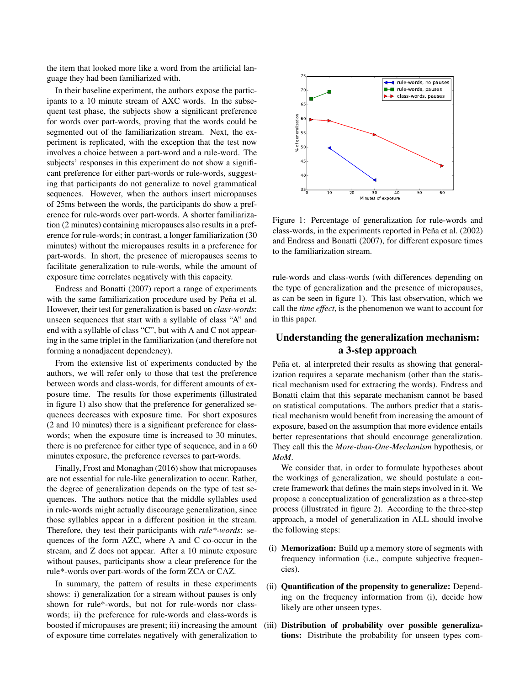the item that looked more like a word from the artificial language they had been familiarized with.

In their baseline experiment, the authors expose the participants to a 10 minute stream of AXC words. In the subsequent test phase, the subjects show a significant preference for words over part-words, proving that the words could be segmented out of the familiarization stream. Next, the experiment is replicated, with the exception that the test now involves a choice between a part-word and a rule-word. The subjects' responses in this experiment do not show a significant preference for either part-words or rule-words, suggesting that participants do not generalize to novel grammatical sequences. However, when the authors insert micropauses of 25ms between the words, the participants do show a preference for rule-words over part-words. A shorter familiarization (2 minutes) containing micropauses also results in a preference for rule-words; in contrast, a longer familiarization (30 minutes) without the micropauses results in a preference for part-words. In short, the presence of micropauses seems to facilitate generalization to rule-words, while the amount of exposure time correlates negatively with this capacity.

Endress and Bonatti (2007) report a range of experiments with the same familiarization procedure used by Peña et al. However, their test for generalization is based on *class-words*: unseen sequences that start with a syllable of class "A" and end with a syllable of class "C", but with A and C not appearing in the same triplet in the familiarization (and therefore not forming a nonadjacent dependency).

From the extensive list of experiments conducted by the authors, we will refer only to those that test the preference between words and class-words, for different amounts of exposure time. The results for those experiments (illustrated in figure 1) also show that the preference for generalized sequences decreases with exposure time. For short exposures (2 and 10 minutes) there is a significant preference for classwords; when the exposure time is increased to 30 minutes, there is no preference for either type of sequence, and in a 60 minutes exposure, the preference reverses to part-words.

Finally, Frost and Monaghan (2016) show that micropauses are not essential for rule-like generalization to occur. Rather, the degree of generalization depends on the type of test sequences. The authors notice that the middle syllables used in rule-words might actually discourage generalization, since those syllables appear in a different position in the stream. Therefore, they test their participants with *rule\*-words*: sequences of the form AZC, where A and C co-occur in the stream, and Z does not appear. After a 10 minute exposure without pauses, participants show a clear preference for the rule\*-words over part-words of the form ZCA or CAZ.

In summary, the pattern of results in these experiments shows: i) generalization for a stream without pauses is only shown for rule\*-words, but not for rule-words nor classwords; ii) the preference for rule-words and class-words is boosted if micropauses are present; iii) increasing the amount of exposure time correlates negatively with generalization to



Figure 1: Percentage of generalization for rule-words and class-words, in the experiments reported in Peña et al. (2002) and Endress and Bonatti (2007), for different exposure times to the familiarization stream.

rule-words and class-words (with differences depending on the type of generalization and the presence of micropauses, as can be seen in figure 1). This last observation, which we call the *time effect*, is the phenomenon we want to account for in this paper.

## Understanding the generalization mechanism: a 3-step approach

Peña et. al interpreted their results as showing that generalization requires a separate mechanism (other than the statistical mechanism used for extracting the words). Endress and Bonatti claim that this separate mechanism cannot be based on statistical computations. The authors predict that a statistical mechanism would benefit from increasing the amount of exposure, based on the assumption that more evidence entails better representations that should encourage generalization. They call this the *More-than-One-Mechanism* hypothesis, or *MoM*.

We consider that, in order to formulate hypotheses about the workings of generalization, we should postulate a concrete framework that defines the main steps involved in it. We propose a conceptualization of generalization as a three-step process (illustrated in figure 2). According to the three-step approach, a model of generalization in ALL should involve the following steps:

- (i) Memorization: Build up a memory store of segments with frequency information (i.e., compute subjective frequencies).
- (ii) Quantification of the propensity to generalize: Depending on the frequency information from (i), decide how likely are other unseen types.
- (iii) Distribution of probability over possible generalizations: Distribute the probability for unseen types com-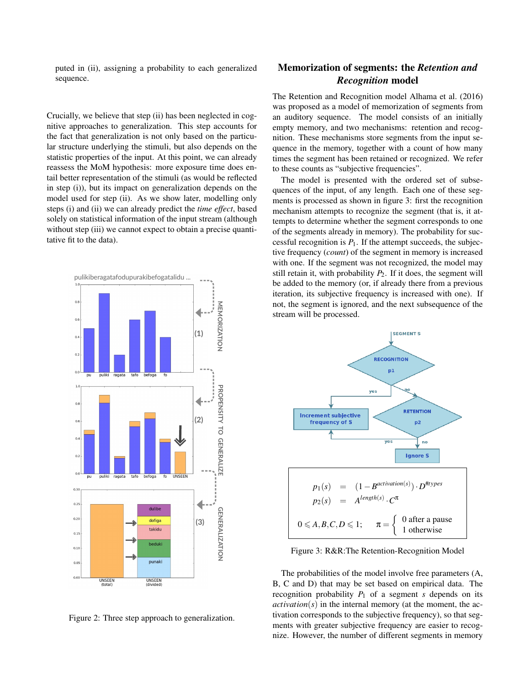puted in (ii), assigning a probability to each generalized sequence.

Crucially, we believe that step (ii) has been neglected in cognitive approaches to generalization. This step accounts for the fact that generalization is not only based on the particular structure underlying the stimuli, but also depends on the statistic properties of the input. At this point, we can already reassess the MoM hypothesis: more exposure time does entail better representation of the stimuli (as would be reflected in step (i)), but its impact on generalization depends on the model used for step (ii). As we show later, modelling only steps (i) and (ii) we can already predict the *time effect*, based solely on statistical information of the input stream (although without step (iii) we cannot expect to obtain a precise quantitative fit to the data).



Figure 2: Three step approach to generalization.

## Memorization of segments: the *Retention and Recognition* model

The Retention and Recognition model Alhama et al. (2016) was proposed as a model of memorization of segments from an auditory sequence. The model consists of an initially empty memory, and two mechanisms: retention and recognition. These mechanisms store segments from the input sequence in the memory, together with a count of how many times the segment has been retained or recognized. We refer to these counts as "subjective frequencies".

The model is presented with the ordered set of subsequences of the input, of any length. Each one of these segments is processed as shown in figure 3: first the recognition mechanism attempts to recognize the segment (that is, it attempts to determine whether the segment corresponds to one of the segments already in memory). The probability for successful recognition is  $P_1$ . If the attempt succeeds, the subjective frequency (*count*) of the segment in memory is increased with one. If the segment was not recognized, the model may still retain it, with probability  $P_2$ . If it does, the segment will be added to the memory (or, if already there from a previous iteration, its subjective frequency is increased with one). If not, the segment is ignored, and the next subsequence of the stream will be processed.



Figure 3: R&R:The Retention-Recognition Model

The probabilities of the model involve free parameters (A, B, C and D) that may be set based on empirical data. The recognition probability  $P_1$  of a segment *s* depends on its  $activation(s)$  in the internal memory (at the moment, the activation corresponds to the subjective frequency), so that segments with greater subjective frequency are easier to recognize. However, the number of different segments in memory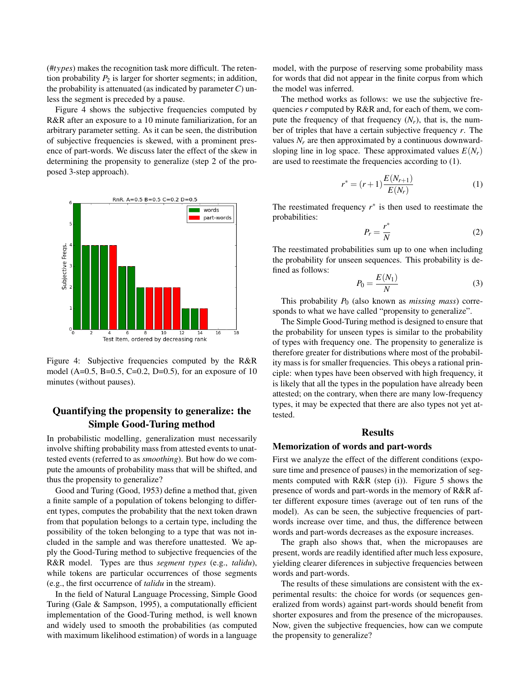(#*types*) makes the recognition task more difficult. The retention probability  $P_2$  is larger for shorter segments; in addition, the probability is attenuated (as indicated by parameter*C*) unless the segment is preceded by a pause.

Figure 4 shows the subjective frequencies computed by R&R after an exposure to a 10 minute familiarization, for an arbitrary parameter setting. As it can be seen, the distribution of subjective frequencies is skewed, with a prominent presence of part-words. We discuss later the effect of the skew in determining the propensity to generalize (step 2 of the proposed 3-step approach).



Figure 4: Subjective frequencies computed by the R&R model (A=0.5, B=0.5, C=0.2, D=0.5), for an exposure of 10 minutes (without pauses).

## Quantifying the propensity to generalize: the Simple Good-Turing method

In probabilistic modelling, generalization must necessarily involve shifting probability mass from attested events to unattested events (referred to as *smoothing*). But how do we compute the amounts of probability mass that will be shifted, and thus the propensity to generalize?

Good and Turing (Good, 1953) define a method that, given a finite sample of a population of tokens belonging to different types, computes the probability that the next token drawn from that population belongs to a certain type, including the possibility of the token belonging to a type that was not included in the sample and was therefore unattested. We apply the Good-Turing method to subjective frequencies of the R&R model. Types are thus *segment types* (e.g., *talidu*), while tokens are particular occurrences of those segments (e.g., the first occurrence of *talidu* in the stream).

In the field of Natural Language Processing, Simple Good Turing (Gale & Sampson, 1995), a computationally efficient implementation of the Good-Turing method, is well known and widely used to smooth the probabilities (as computed with maximum likelihood estimation) of words in a language model, with the purpose of reserving some probability mass for words that did not appear in the finite corpus from which the model was inferred.

The method works as follows: we use the subjective frequencies *r* computed by R&R and, for each of them, we compute the frequency of that frequency  $(N_r)$ , that is, the number of triples that have a certain subjective frequency *r*. The values  $N_r$  are then approximated by a continuous downwardsloping line in log space. These approximated values  $E(N_r)$ are used to reestimate the frequencies according to (1).

$$
r^* = (r+1)\frac{E(N_{r+1})}{E(N_r)}
$$
 (1)

The reestimated frequency  $r^*$  is then used to reestimate the probabilities:

$$
P_r = \frac{r^*}{N} \tag{2}
$$

The reestimated probabilities sum up to one when including the probability for unseen sequences. This probability is defined as follows: *E*(*N*1)

$$
P_0 = \frac{E(N_1)}{N} \tag{3}
$$

This probability  $P_0$  (also known as *missing mass*) corresponds to what we have called "propensity to generalize".

The Simple Good-Turing method is designed to ensure that the probability for unseen types is similar to the probability of types with frequency one. The propensity to generalize is therefore greater for distributions where most of the probability mass is for smaller frequencies. This obeys a rational principle: when types have been observed with high frequency, it is likely that all the types in the population have already been attested; on the contrary, when there are many low-frequency types, it may be expected that there are also types not yet attested.

### **Results**

#### Memorization of words and part-words

First we analyze the effect of the different conditions (exposure time and presence of pauses) in the memorization of segments computed with  $R&R$  (step (i)). Figure 5 shows the presence of words and part-words in the memory of R&R after different exposure times (average out of ten runs of the model). As can be seen, the subjective frequencies of partwords increase over time, and thus, the difference between words and part-words decreases as the exposure increases.

The graph also shows that, when the micropauses are present, words are readily identified after much less exposure, yielding clearer diferences in subjective frequencies between words and part-words.

The results of these simulations are consistent with the experimental results: the choice for words (or sequences generalized from words) against part-words should benefit from shorter exposures and from the presence of the micropauses. Now, given the subjective frequencies, how can we compute the propensity to generalize?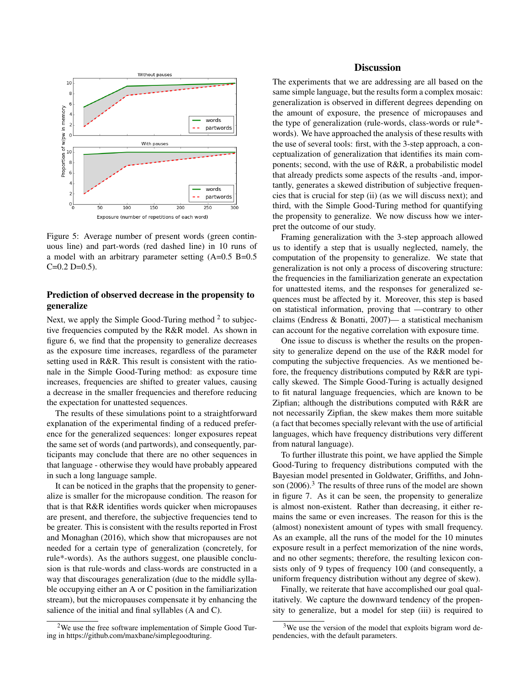

Figure 5: Average number of present words (green continuous line) and part-words (red dashed line) in 10 runs of a model with an arbitrary parameter setting (A=0.5 B=0.5  $C=0.2$  D=0.5).

## Prediction of observed decrease in the propensity to generalize

Next, we apply the Simple Good-Turing method  $2$  to subjective frequencies computed by the R&R model. As shown in figure 6, we find that the propensity to generalize decreases as the exposure time increases, regardless of the parameter setting used in R&R. This result is consistent with the rationale in the Simple Good-Turing method: as exposure time increases, frequencies are shifted to greater values, causing a decrease in the smaller frequencies and therefore reducing the expectation for unattested sequences.

The results of these simulations point to a straightforward explanation of the experimental finding of a reduced preference for the generalized sequences: longer exposures repeat the same set of words (and partwords), and consequently, participants may conclude that there are no other sequences in that language - otherwise they would have probably appeared in such a long language sample.

It can be noticed in the graphs that the propensity to generalize is smaller for the micropause condition. The reason for that is that R&R identifies words quicker when micropauses are present, and therefore, the subjective frequencies tend to be greater. This is consistent with the results reported in Frost and Monaghan (2016), which show that micropauses are not needed for a certain type of generalization (concretely, for rule\*-words). As the authors suggest, one plausible conclusion is that rule-words and class-words are constructed in a way that discourages generalization (due to the middle syllable occupying either an A or C position in the familiarization stream), but the micropauses compensate it by enhancing the salience of the initial and final syllables (A and C).

### **Discussion**

The experiments that we are addressing are all based on the same simple language, but the results form a complex mosaic: generalization is observed in different degrees depending on the amount of exposure, the presence of micropauses and the type of generalization (rule-words, class-words or rule\* words). We have approached the analysis of these results with the use of several tools: first, with the 3-step approach, a conceptualization of generalization that identifies its main components; second, with the use of R&R, a probabilistic model that already predicts some aspects of the results -and, importantly, generates a skewed distribution of subjective frequencies that is crucial for step (ii) (as we will discuss next); and third, with the Simple Good-Turing method for quantifying the propensity to generalize. We now discuss how we interpret the outcome of our study.

Framing generalization with the 3-step approach allowed us to identify a step that is usually neglected, namely, the computation of the propensity to generalize. We state that generalization is not only a process of discovering structure: the frequencies in the familiarization generate an expectation for unattested items, and the responses for generalized sequences must be affected by it. Moreover, this step is based on statistical information, proving that —contrary to other claims (Endress & Bonatti, 2007)— a statistical mechanism can account for the negative correlation with exposure time.

One issue to discuss is whether the results on the propensity to generalize depend on the use of the R&R model for computing the subjective frequencies. As we mentioned before, the frequency distributions computed by R&R are typically skewed. The Simple Good-Turing is actually designed to fit natural language frequencies, which are known to be Zipfian; although the distributions computed with R&R are not necessarily Zipfian, the skew makes them more suitable (a fact that becomes specially relevant with the use of artificial languages, which have frequency distributions very different from natural language).

To further illustrate this point, we have applied the Simple Good-Turing to frequency distributions computed with the Bayesian model presented in Goldwater, Griffiths, and Johnson (2006).<sup>3</sup> The results of three runs of the model are shown in figure 7. As it can be seen, the propensity to generalize is almost non-existent. Rather than decreasing, it either remains the same or even increases. The reason for this is the (almost) nonexistent amount of types with small frequency. As an example, all the runs of the model for the 10 minutes exposure result in a perfect memorization of the nine words, and no other segments; therefore, the resulting lexicon consists only of 9 types of frequency 100 (and consequently, a uniform frequency distribution without any degree of skew).

Finally, we reiterate that have accomplished our goal qualitatively. We capture the downward tendency of the propensity to generalize, but a model for step (iii) is required to

 $2$ We use the free software implementation of Simple Good Turing in https://github.com/maxbane/simplegoodturing.

<sup>&</sup>lt;sup>3</sup>We use the version of the model that exploits bigram word dependencies, with the default parameters.